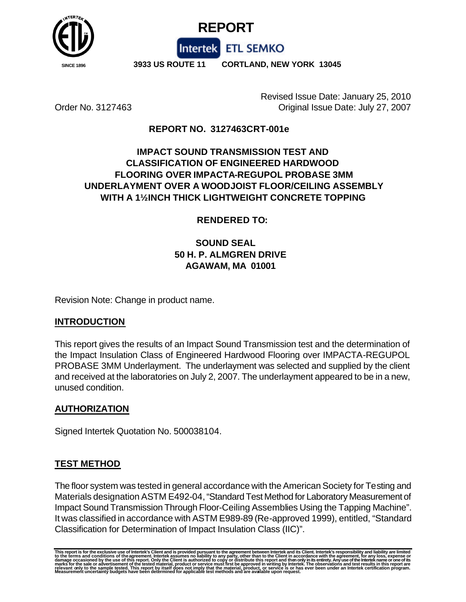



 **SINCE 1896 3933 US ROUTE 11 CORTLAND, NEW YORK 13045**

Intertek ETL SEMKO

Revised Issue Date: January 25, 2010 Order No. 3127463 Original Issue Date: July 27, 2007

# **REPORT NO. 3127463CRT-001e**

# **IMPACT SOUND TRANSMISSION TEST AND CLASSIFICATION OF ENGINEERED HARDWOOD FLOORING OVER IMPACTA-REGUPOL PROBASE 3MM UNDERLAYMENT OVER A WOODJOIST FLOOR/CEILING ASSEMBLY WITH A 1½INCH THICK LIGHTWEIGHT CONCRETE TOPPING**

### **RENDERED TO:**

# **SOUND SEAL 50 H. P. ALMGREN DRIVE AGAWAM, MA 01001**

Revision Note: Change in product name.

### **INTRODUCTION**

This report gives the results of an Impact Sound Transmission test and the determination of the Impact Insulation Class of Engineered Hardwood Flooring over IMPACTA-REGUPOL PROBASE 3MM Underlayment. The underlayment was selected and supplied by the client and received at the laboratories on July 2, 2007. The underlayment appeared to be in a new, unused condition.

### **AUTHORIZATION**

Signed Intertek Quotation No. 500038104.

## **TEST METHOD**

The floor system was tested in general accordance with the American Society for Testing and Materials designation ASTM E492-04, "Standard Test Method for Laboratory Measurement of Impact Sound Transmission Through Floor-Ceiling Assemblies Using the Tapping Machine". It was classified in accordance with ASTM E989-89 (Re-approved 1999), entitled, "Standard Classification for Determination of Impact Insulation Class (IIC)".

This report is for the exclusive use of Intertek's Client and is provided pursuant to the agreement between Intertek and its Client. Intertek's responsibility and liability are limited<br>to the terms and conditions of the ag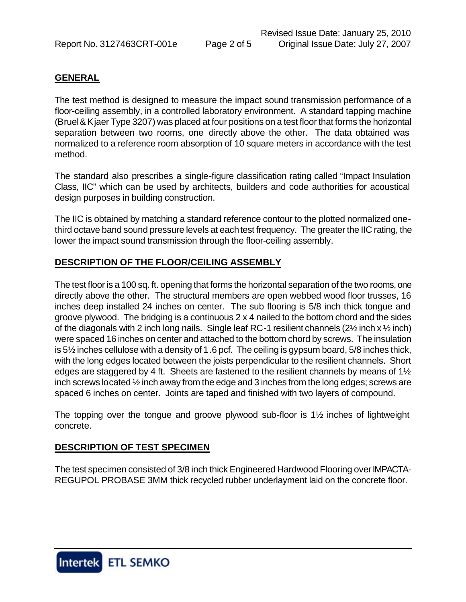#### **GENERAL**

The test method is designed to measure the impact sound transmission performance of a floor-ceiling assembly, in a controlled laboratory environment. A standard tapping machine (Bruel & Kjaer Type 3207) was placed at four positions on a test floor that forms the horizontal separation between two rooms, one directly above the other. The data obtained was normalized to a reference room absorption of 10 square meters in accordance with the test method.

The standard also prescribes a single-figure classification rating called "Impact Insulation Class, IIC" which can be used by architects, builders and code authorities for acoustical design purposes in building construction.

The IIC is obtained by matching a standard reference contour to the plotted normalized onethird octave band sound pressure levels at each test frequency. The greater the IIC rating, the lower the impact sound transmission through the floor-ceiling assembly.

### **DESCRIPTION OF THE FLOOR/CEILING ASSEMBLY**

The test floor is a 100 sq. ft. opening that forms the horizontal separation of the two rooms, one directly above the other. The structural members are open webbed wood floor trusses, 16 inches deep installed 24 inches on center. The sub flooring is 5/8 inch thick tongue and groove plywood. The bridging is a continuous 2 x 4 nailed to the bottom chord and the sides of the diagonals with 2 inch long nails. Single leaf RC-1 resilient channels  $(2\frac{1}{2}$  inch  $x\frac{1}{2}$  inch) were spaced 16 inches on center and attached to the bottom chord by screws. The insulation is 5½ inches cellulose with a density of 1.6 pcf. The ceiling is gypsum board, 5/8 inches thick, with the long edges located between the joists perpendicular to the resilient channels. Short edges are staggered by 4 ft. Sheets are fastened to the resilient channels by means of 1½ inch screws located ½ inch away from the edge and 3 inches from the long edges; screws are spaced 6 inches on center. Joints are taped and finished with two layers of compound.

The topping over the tongue and groove plywood sub-floor is 1½ inches of lightweight concrete.

### **DESCRIPTION OF TEST SPECIMEN**

The test specimen consisted of 3/8 inch thick Engineered Hardwood Flooring over IMPACTA-REGUPOL PROBASE 3MM thick recycled rubber underlayment laid on the concrete floor.

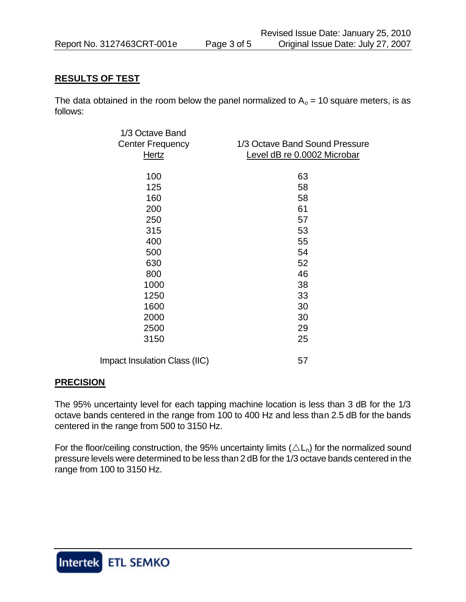### **RESULTS OF TEST**

The data obtained in the room below the panel normalized to  $A_0 = 10$  square meters, is as follows:

| 1/3 Octave Band               |                                |
|-------------------------------|--------------------------------|
| <b>Center Frequency</b>       | 1/3 Octave Band Sound Pressure |
| Hertz                         | Level dB re 0.0002 Microbar    |
| 100                           | 63                             |
| 125                           | 58                             |
| 160                           | 58                             |
| 200                           | 61                             |
| 250                           | 57                             |
| 315                           | 53                             |
| 400                           | 55                             |
| 500                           | 54                             |
| 630                           | 52                             |
| 800                           | 46                             |
| 1000                          | 38                             |
| 1250                          | 33                             |
| 1600                          | 30                             |
| 2000                          | 30                             |
| 2500                          | 29                             |
| 3150                          | 25                             |
| Impact Insulation Class (IIC) | 57                             |

### **PRECISION**

The 95% uncertainty level for each tapping machine location is less than 3 dB for the 1/3 octave bands centered in the range from 100 to 400 Hz and less than 2.5 dB for the bands centered in the range from 500 to 3150 Hz.

For the floor/ceiling construction, the 95% uncertainty limits ( $\triangle L_n$ ) for the normalized sound pressure levels were determined to be less than 2 dB for the 1/3 octave bands centered in the range from 100 to 3150 Hz.

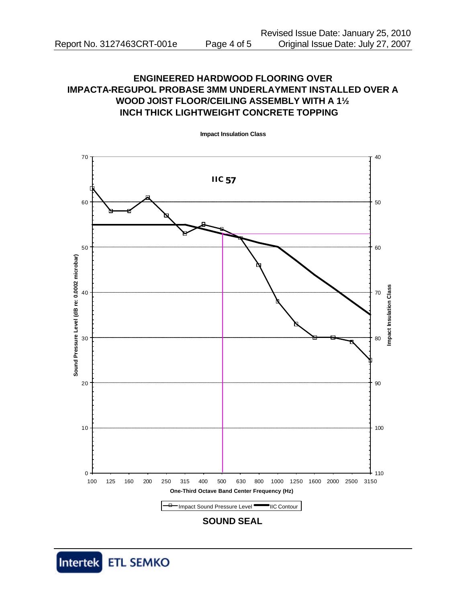# **ENGINEERED HARDWOOD FLOORING OVER IMPACTA-REGUPOL PROBASE 3MM UNDERLAYMENT INSTALLED OVER A WOOD JOIST FLOOR/CEILING ASSEMBLY WITH A 1½ INCH THICK LIGHTWEIGHT CONCRETE TOPPING**



**Impact Insulation Class**

**SOUND SEAL**